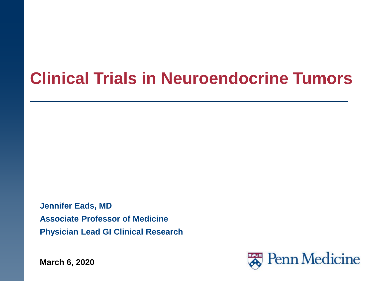# **Clinical Trials in Neuroendocrine Tumors**

**Jennifer Eads, MD Associate Professor of Medicine Physician Lead GI Clinical Research**

**March 6, 2020** 

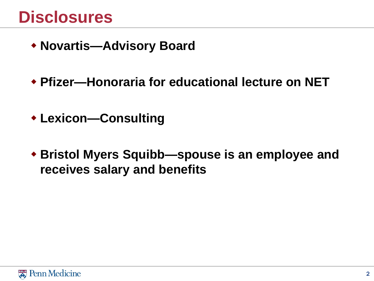# **Disclosures**

- **Novartis—Advisory Board**
- **Pfizer—Honoraria for educational lecture on NET**
- **Lexicon—Consulting**
- **Bristol Myers Squibb—spouse is an employee and receives salary and benefits**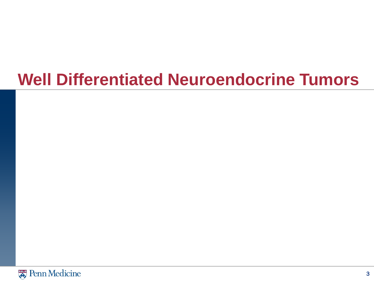# **Well Differentiated Neuroendocrine Tumors**

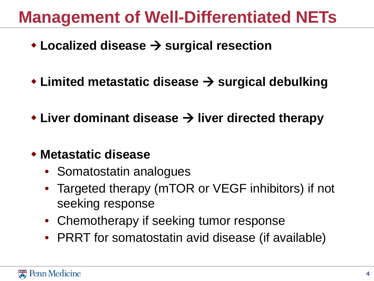# **Management of Well-Differentiated NETs**

- **★Localized disease → surgical resection**
- ◆ Limited metastatic disease → surgical debulking
- **◆ Liver dominant disease → liver directed therapy**
- **Metastatic disease** 
	- Somatostatin analogues
	- Targeted therapy (mTOR or VEGF inhibitors) if not seeking response
	- Chemotherapy if seeking tumor response
	- PRRT for somatostatin avid disease (if available)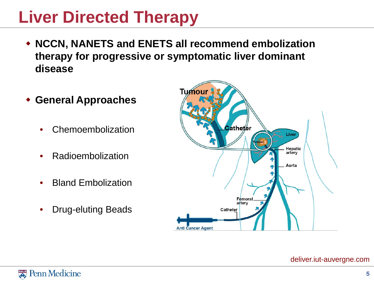# **Liver Directed Therapy**

- **NCCN, NANETS and ENETS all recommend embolization therapy for progressive or symptomatic liver dominant disease**
- **General Approaches**
	- Chemoembolization
	- Radioembolization
	- Bland Embolization
	- Drug-eluting Beads



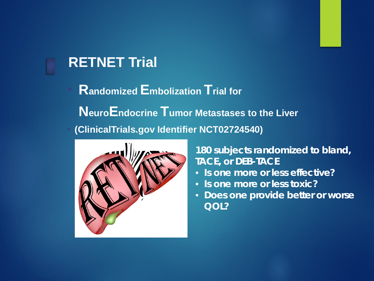#### **RETNET Trial**

**Randomized Embolization Trial for NeuroEndocrine Tumor Metastases to the Liver** ▪ **(ClinicalTrials.gov Identifier NCT02724540)**



#### **180 subjects randomized to bland, TACE, or DEB-TACE**

- **Is one more or less effective?**
- **Is one more or less toxic?**
- **Does one provide better or worse QOL?**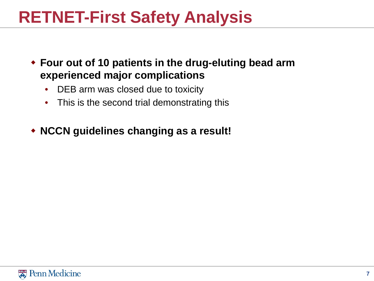# **RETNET-First Safety Analysis**

- **Four out of 10 patients in the drug-eluting bead arm experienced major complications**
	- DEB arm was closed due to toxicity
	- This is the second trial demonstrating this
- **NCCN guidelines changing as a result!**

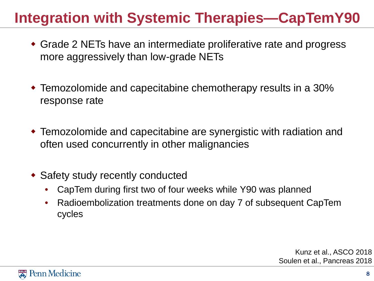### **Integration with Systemic Therapies—CapTemY90**

- Grade 2 NETs have an intermediate proliferative rate and progress more aggressively than low-grade NETs
- Temozolomide and capecitabine chemotherapy results in a 30% response rate
- Temozolomide and capecitabine are synergistic with radiation and often used concurrently in other malignancies
- Safety study recently conducted
	- CapTem during first two of four weeks while Y90 was planned
	- Radioembolization treatments done on day 7 of subsequent CapTem cycles

Kunz et al., ASCO 2018 Soulen et al., Pancreas 2018

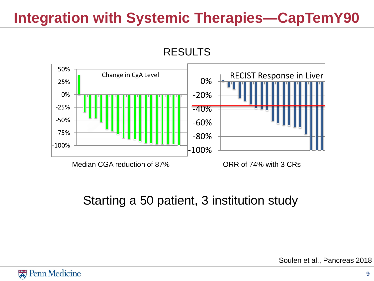### **Integration with Systemic Therapies—CapTemY90**





#### Starting a 50 patient, 3 institution study

Soulen et al., Pancreas 2018

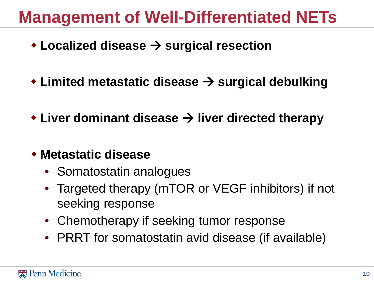# **Management of Well-Differentiated NETs**

- **★Localized disease → surgical resection**
- ◆ Limited metastatic disease → surgical debulking
- **◆ Liver dominant disease → liver directed therapy**
- **Metastatic disease** 
	- Somatostatin analogues
	- Targeted therapy (mTOR or VEGF inhibitors) if not seeking response
	- Chemotherapy if seeking tumor response
	- PRRT for somatostatin avid disease (if available)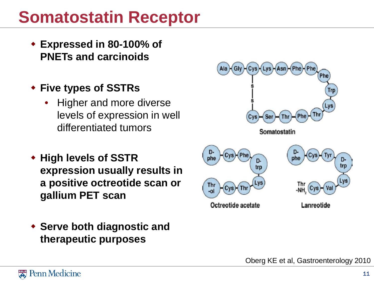# **Somatostatin Receptor**

- **Expressed in 80-100% of PNETs and carcinoids**
- **Five types of SSTRs**
	- Higher and more diverse levels of expression in well differentiated tumors
- **High levels of SSTR expression usually results in a positive octreotide scan or gallium PET scan**
- **Serve both diagnostic and therapeutic purposes**



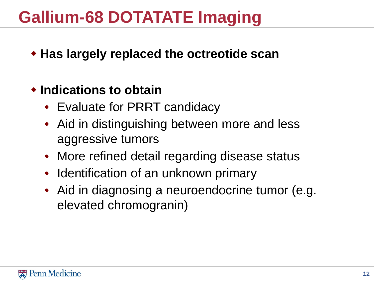# **Gallium-68 DOTATATE Imaging**

**Has largely replaced the octreotide scan**

#### **Indications to obtain**

- Evaluate for PRRT candidacy
- Aid in distinguishing between more and less aggressive tumors
- More refined detail regarding disease status
- Identification of an unknown primary
- Aid in diagnosing a neuroendocrine tumor (e.g. elevated chromogranin)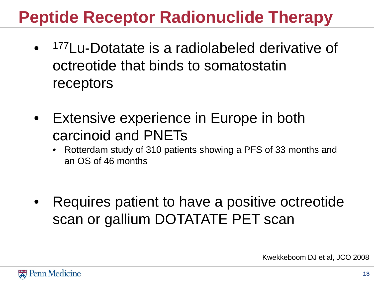# **Peptide Receptor Radionuclide Therapy**

- <sup>177</sup>Lu-Dotatate is a radiolabeled derivative of octreotide that binds to somatostatin receptors
- **Extensive experience in Europe in both** carcinoid and PNETs
	- Rotterdam study of 310 patients showing a PFS of 33 months and an OS of 46 months
- Requires patient to have a positive octreotide scan or gallium DOTATATE PET scan

Kwekkeboom DJ et al, JCO 2008

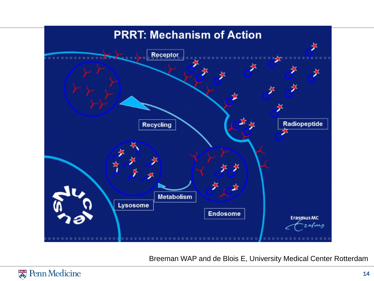

Breeman WAP and de Blois E, University Medical Center Rotterdam

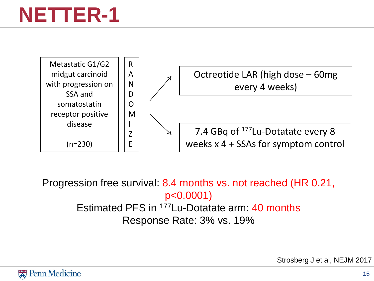# **NETTER-1**



Progression free survival: 8.4 months vs. not reached (HR 0.21, p<0.0001) Estimated PFS in 177Lu-Dotatate arm: 40 months Response Rate: 3% vs. 19%

Strosberg J et al, NEJM 2017

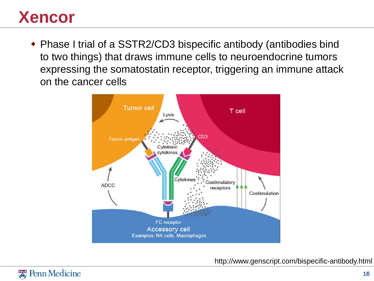# **Xencor**

 Phase I trial of a SSTR2/CD3 bispecific antibody (antibodies bind to two things) that draws immune cells to neuroendocrine tumors expressing the somatostatin receptor, triggering an immune attack on the cancer cells



http://www.genscript.com/bispecific-antibody.html

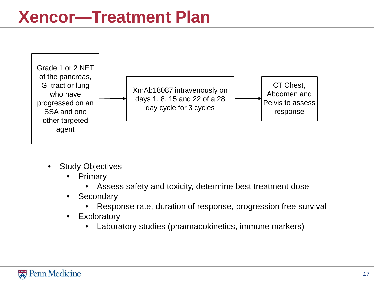

- **Study Objectives** 
	- **Primary** 
		- Assess safety and toxicity, determine best treatment dose
	- Secondary
		- Response rate, duration of response, progression free survival
	- Exploratory
		- Laboratory studies (pharmacokinetics, immune markers)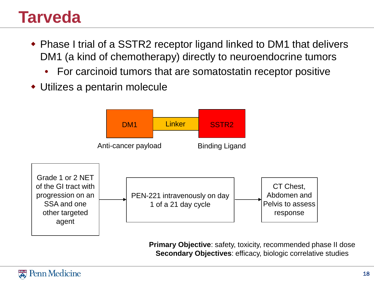# **Tarveda**

- Phase I trial of a SSTR2 receptor ligand linked to DM1 that delivers DM1 (a kind of chemotherapy) directly to neuroendocrine tumors
	- For carcinoid tumors that are somatostatin receptor positive
- Utilizes a pentarin molecule



**Primary Objective: safety, toxicity, recommended phase II dose Secondary Objectives**: efficacy, biologic correlative studies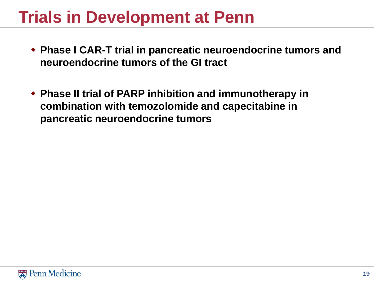# **Trials in Development at Penn**

- **Phase I CAR-T trial in pancreatic neuroendocrine tumors and neuroendocrine tumors of the GI tract**
- **Phase II trial of PARP inhibition and immunotherapy in combination with temozolomide and capecitabine in pancreatic neuroendocrine tumors**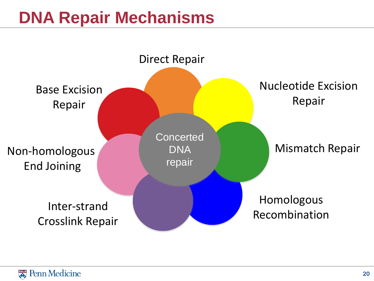# **DNA Repair Mechanisms**

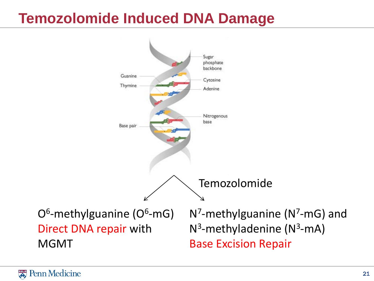### **Temozolomide Induced DNA Damage**

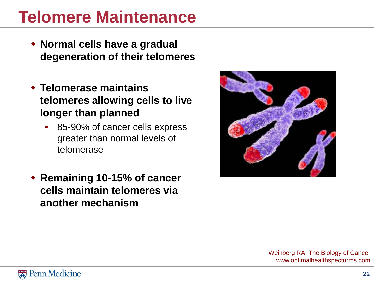# **Telomere Maintenance**

- **Normal cells have a gradual degeneration of their telomeres**
- **Telomerase maintains telomeres allowing cells to live longer than planned**
	- 85-90% of cancer cells express greater than normal levels of telomerase
- **Remaining 10-15% of cancer cells maintain telomeres via another mechanism**



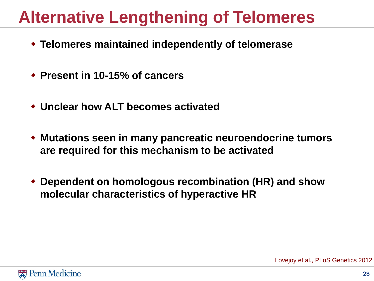# **Alternative Lengthening of Telomeres**

- **Telomeres maintained independently of telomerase**
- **Present in 10-15% of cancers**
- **Unclear how ALT becomes activated**
- **Mutations seen in many pancreatic neuroendocrine tumors are required for this mechanism to be activated**
- **Dependent on homologous recombination (HR) and show molecular characteristics of hyperactive HR**

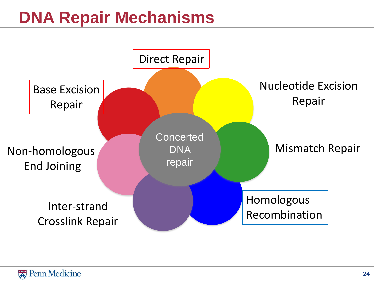# **DNA Repair Mechanisms**

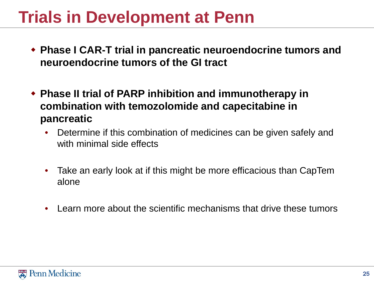# **Trials in Development at Penn**

- **Phase I CAR-T trial in pancreatic neuroendocrine tumors and neuroendocrine tumors of the GI tract**
- **Phase II trial of PARP inhibition and immunotherapy in combination with temozolomide and capecitabine in pancreatic**
	- Determine if this combination of medicines can be given safely and with minimal side effects
	- Take an early look at if this might be more efficacious than CapTem alone
	- Learn more about the scientific mechanisms that drive these tumors

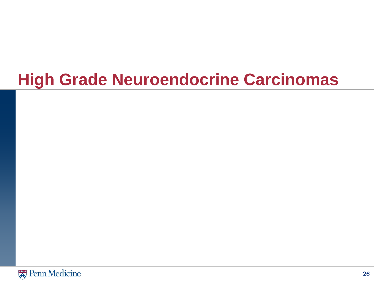# **High Grade Neuroendocrine Carcinomas**

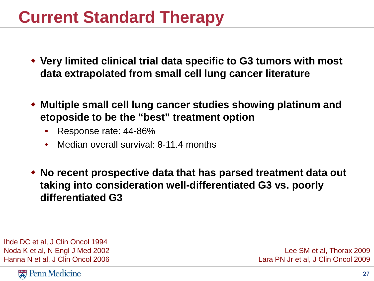# **Current Standard Therapy**

- **Very limited clinical trial data specific to G3 tumors with most data extrapolated from small cell lung cancer literature**
- **Multiple small cell lung cancer studies showing platinum and etoposide to be the "best" treatment option**
	- Response rate: 44-86%
	- Median overall survival: 8-11.4 months
- **No recent prospective data that has parsed treatment data out taking into consideration well-differentiated G3 vs. poorly differentiated G3**

Ihde DC et al, J Clin Oncol 1994 Noda K et al, N Engl J Med 2002 Hanna N et al, J Clin Oncol 2006

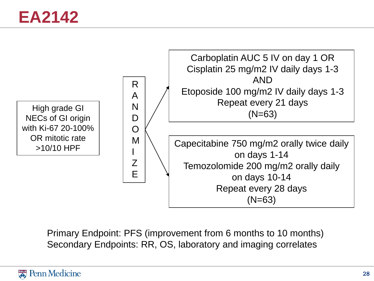

Primary Endpoint: PFS (improvement from 6 months to 10 months) Secondary Endpoints: RR, OS, laboratory and imaging correlates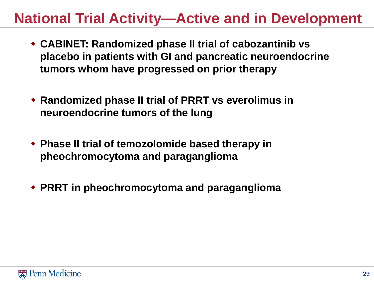### **National Trial Activity—Active and in Development**

- **CABINET: Randomized phase II trial of cabozantinib vs placebo in patients with GI and pancreatic neuroendocrine tumors whom have progressed on prior therapy**
- **Randomized phase II trial of PRRT vs everolimus in neuroendocrine tumors of the lung**
- **Phase II trial of temozolomide based therapy in pheochromocytoma and paraganglioma**
- **PRRT in pheochromocytoma and paraganglioma**